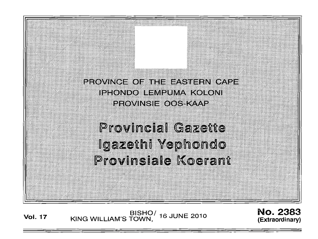PROVINCE OF THE EASTERN CAPE **IPHONDO LEMPUMA KOLONI PROVINSIE OOS KAAP** 

**Provincial Gazette** Igazethi Yephondo Provinsiale Koerant

BISHO/ 16 JUNE 2010<br>KING WILLIAM'S TOWN, **Vol. 17** 

**No. 2383** (Extraordinary)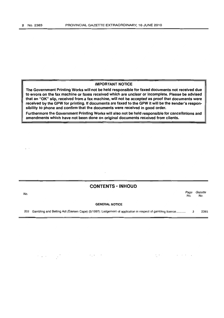#### **IMPORTANT NOTICE**

**The Government Printing Works will not be held responsible for faxed documents not received due to errors on the fax machine or faxes received which are unclear or incomplete. Please be advised that an** "OK" **slip, received from a fax machine, will not be accepted as proof that documents were received by the GPW for printing. If documents are faxed to the GPW it will be the sender's responsibility to phone and confirm that the documents were received in good order.** 

**Furthermore the Government Printing Works will also not be held responsible for cancellations and amendments which have not been done on original documents received from clients.** 

## **CONTENTS • INHOUD**

| No. |                                                                                                               | Page<br>No. | Gazette<br>No. |
|-----|---------------------------------------------------------------------------------------------------------------|-------------|----------------|
|     | <b>GENERAL NOTICE</b>                                                                                         |             |                |
|     | 202 Gambling and Betting Act (Eastern Cape) (5/1997): Lodgement of application in respect of gambling licence |             | 2383           |